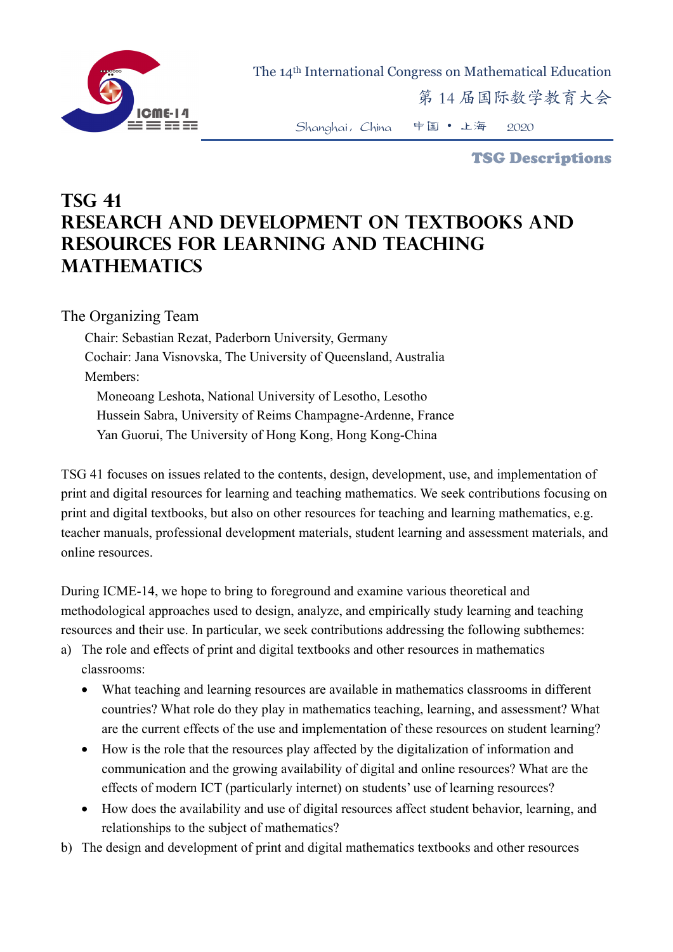

The 14th International Congress on Mathematical Education

第 14 届国际数学教育大会

Shanghai,China 中国 • 上海 2020

TSG Descriptions

## **TSG 41 Research and development on textbooks and resources for learning and teaching mathematics**

The Organizing Team

Chair: Sebastian Rezat, Paderborn University, Germany Cochair: Jana Visnovska, The University of Queensland, Australia Members: Moneoang Leshota, National University of Lesotho, Lesotho Hussein Sabra, University of Reims Champagne-Ardenne, France Yan Guorui, The University of Hong Kong, Hong Kong-China

TSG 41 focuses on issues related to the contents, design, development, use, and implementation of print and digital resources for learning and teaching mathematics. We seek contributions focusing on print and digital textbooks, but also on other resources for teaching and learning mathematics, e.g. teacher manuals, professional development materials, student learning and assessment materials, and online resources.

During ICME-14, we hope to bring to foreground and examine various theoretical and methodological approaches used to design, analyze, and empirically study learning and teaching resources and their use. In particular, we seek contributions addressing the following subthemes:

- a) The role and effects of print and digital textbooks and other resources in mathematics classrooms:
	- What teaching and learning resources are available in mathematics classrooms in different countries? What role do they play in mathematics teaching, learning, and assessment? What are the current effects of the use and implementation of these resources on student learning?
	- How is the role that the resources play affected by the digitalization of information and communication and the growing availability of digital and online resources? What are the effects of modern ICT (particularly internet) on students' use of learning resources?
	- How does the availability and use of digital resources affect student behavior, learning, and relationships to the subject of mathematics?
- b) The design and development of print and digital mathematics textbooks and other resources